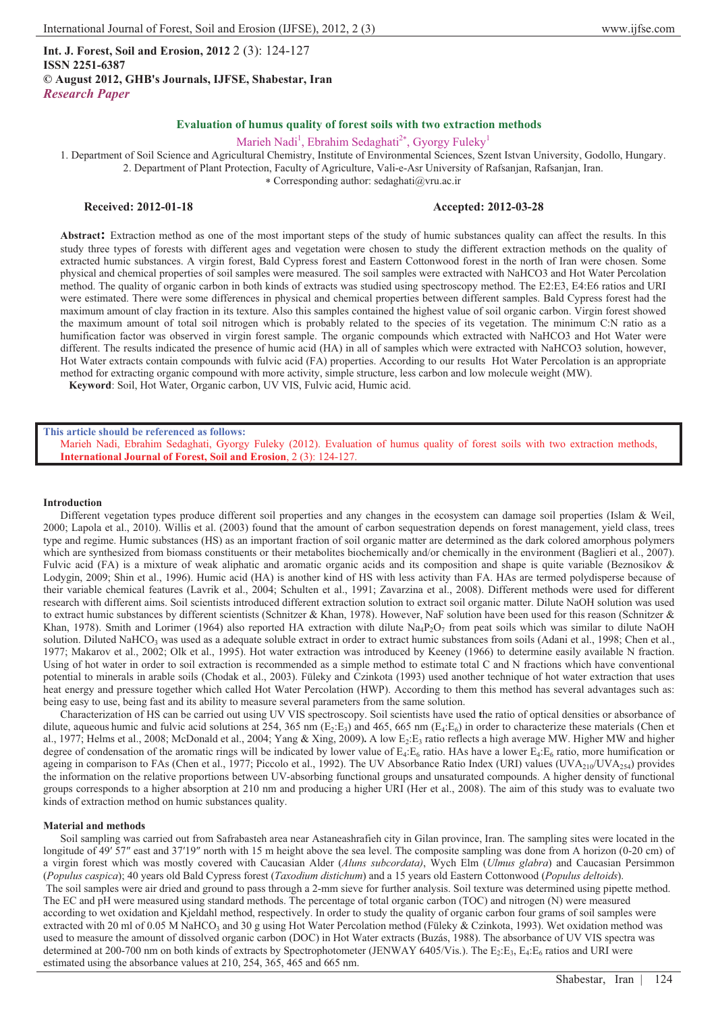**Int. J. Forest, Soil and Erosion, 2012** 2 (3): 124-127 **ISSN 2251-6387 © August 2012, GHB's Journals, IJFSE, Shabestar, Iran** *Research Paper* 

Marieh Nadi<sup>1</sup>, Ebrahim Sedaghati<sup>2\*</sup>, Gyorgy Fuleky<sup>1</sup>

1. Department of Soil Science and Agricultural Chemistry, Institute of Environmental Sciences, Szent Istvan University, Godollo, Hungary. 2. Department of Plant Protection, Faculty of Agriculture, Vali-e-Asr University of Rafsanjan, Rafsanjan, Iran.

- Corresponding author: sedaghati@vru.ac.ir

# **Received: 2012-01-18 Accepted: 2012-03-28**

**Abstract:** Extraction method as one of the most important steps of the study of humic substances quality can affect the results. In this study three types of forests with different ages and vegetation were chosen to study the different extraction methods on the quality of extracted humic substances. A virgin forest, Bald Cypress forest and Eastern Cottonwood forest in the north of Iran were chosen. Some physical and chemical properties of soil samples were measured. The soil samples were extracted with NaHCO3 and Hot Water Percolation method. The quality of organic carbon in both kinds of extracts was studied using spectroscopy method. The E2:E3, E4:E6 ratios and URI were estimated. There were some differences in physical and chemical properties between different samples. Bald Cypress forest had the maximum amount of clay fraction in its texture. Also this samples contained the highest value of soil organic carbon. Virgin forest showed the maximum amount of total soil nitrogen which is probably related to the species of its vegetation. The minimum C:N ratio as a humification factor was observed in virgin forest sample. The organic compounds which extracted with NaHCO3 and Hot Water were different. The results indicated the presence of humic acid (HA) in all of samples which were extracted with NaHCO3 solution, however, Hot Water extracts contain compounds with fulvic acid (FA) properties. According to our results Hot Water Percolation is an appropriate method for extracting organic compound with more activity, simple structure, less carbon and low molecule weight (MW).

**Keyword**: Soil, Hot Water, Organic carbon, UV VIS, Fulvic acid, Humic acid.

#### **This article should be referenced as follows:**

Marieh Nadi, Ebrahim Sedaghati, Gyorgy Fuleky (2012). Evaluation of humus quality of forest soils with two extraction methods, **International Journal of Forest, Soil and Erosion**, 2 (3): 124-127.

### **Introduction**

Different vegetation types produce different soil properties and any changes in the ecosystem can damage soil properties (Islam & Weil, 2000; Lapola et al., 2010). Willis et al. (2003) found that the amount of carbon sequestration depends on forest management, yield class, trees type and regime. Humic substances (HS) as an important fraction of soil organic matter are determined as the dark colored amorphous polymers which are synthesized from biomass constituents or their metabolites biochemically and/or chemically in the environment (Baglieri et al., 2007). Fulvic acid (FA) is a mixture of weak aliphatic and aromatic organic acids and its composition and shape is quite variable (Beznosikov & Lodygin, 2009; Shin et al., 1996). Humic acid (HA) is another kind of HS with less activity than FA. HAs are termed polydisperse because of their variable chemical features (Lavrik et al., 2004; Schulten et al., 1991; Zavarzina et al., 2008). Different methods were used for different research with different aims. Soil scientists introduced different extraction solution to extract soil organic matter. Dilute NaOH solution was used to extract humic substances by different scientists (Schnitzer & Khan, 1978). However, NaF solution have been used for this reason (Schnitzer & Khan, 1978). Smith and Lorimer (1964) also reported HA extraction with dilute  $Na_4P_2O_7$  from peat soils which was similar to dilute NaOH solution. Diluted NaHCO<sub>3</sub> was used as a adequate soluble extract in order to extract humic substances from soils (Adani et al., 1998; Chen et al., 1977; Makarov et al., 2002; Olk et al., 1995). Hot water extraction was introduced by Keeney (1966) to determine easily available N fraction. Using of hot water in order to soil extraction is recommended as a simple method to estimate total C and N fractions which have conventional potential to minerals in arable soils (Chodak et al., 2003). Füleky and Czinkota (1993) used another technique of hot water extraction that uses heat energy and pressure together which called Hot Water Percolation (HWP). According to them this method has several advantages such as: being easy to use, being fast and its ability to measure several parameters from the same solution.

Characterization of HS can be carried out using UV VIS spectroscopy. Soil scientists have used **t**he ratio of optical densities or absorbance of dilute, aqueous humic and fulvic acid solutions at 254, 365 nm (E<sub>2</sub>:E<sub>3</sub>) and 465, 665 nm (E<sub>4</sub>:E<sub>6</sub>) in order to characterize these materials (Chen et al., 1977; Helms et al., 2008; McDonald et al., 2004; Yang & Xing, 2009). A low E<sub>2</sub>:E<sub>3</sub> ratio reflects a high average MW. Higher MW and higher degree of condensation of the aromatic rings will be indicated by lower value of  $E_4$ : $E_6$  ratio. HAs have a lower  $E_4$ : $E_6$  ratio, more humification or ageing in comparison to FAs (Chen et al., 1977; Piccolo et al., 1992). The UV Absorbance Ratio Index (URI) values (UVA<sub>210</sub>/UVA<sub>254</sub>) provides the information on the relative proportions between UV-absorbing functional groups and unsaturated compounds. A higher density of functional groups corresponds to a higher absorption at 210 nm and producing a higher URI (Her et al., 2008). The aim of this study was to evaluate two kinds of extraction method on humic substances quality.

#### **Material and methods**

Soil sampling was carried out from Safrabasteh area near Astaneashrafieh city in Gilan province, Iran. The sampling sites were located in the longitude of 49' 57" east and 37'19" north with 15 m height above the sea level. The composite sampling was done from A horizon (0-20 cm) of a virgin forest which was mostly covered with Caucasian Alder (*Aluns subcordata)*, Wych Elm (*Ulmus glabra*) and Caucasian Persimmon (*Populus caspica*); 40 years old Bald Cypress forest (*Taxodium distichum*) and a 15 years old Eastern Cottonwood (*Populus deltoids*). The soil samples were air dried and ground to pass through a 2-mm sieve for further analysis. Soil texture was determined using pipette method. The EC and pH were measured using standard methods. The percentage of total organic carbon (TOC) and nitrogen (N) were measured according to wet oxidation and Kjeldahl method, respectively. In order to study the quality of organic carbon four grams of soil samples were extracted with 20 ml of 0.05 M NaHCO<sub>3</sub> and 30 g using Hot Water Percolation method (Füleky & Czinkota, 1993). Wet oxidation method was used to measure the amount of dissolved organic carbon (DOC) in Hot Water extracts (Buzás, 1988). The absorbance of UV VIS spectra was determined at 200-700 nm on both kinds of extracts by Spectrophotometer (JENWAY 6405/Vis.). The  $E_2:E_3$ ,  $E_4:E_6$  ratios and URI were estimated using the absorbance values at 210, 254, 365, 465 and 665 nm.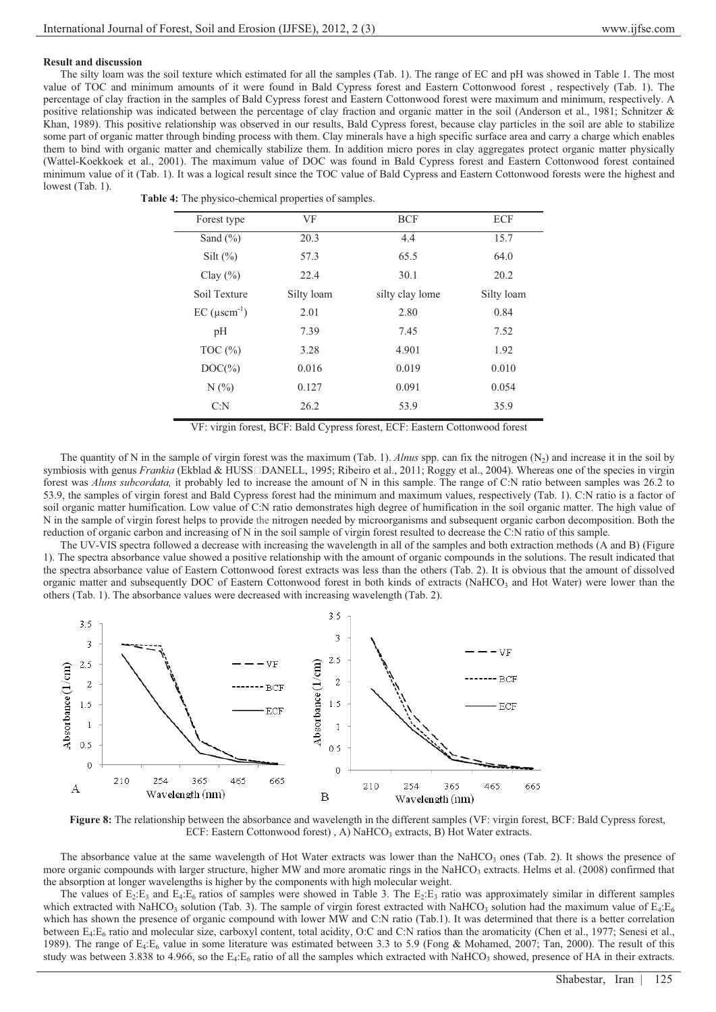## **Result and discussion**

The silty loam was the soil texture which estimated for all the samples (Tab. 1). The range of EC and pH was showed in Table 1. The most value of TOC and minimum amounts of it were found in Bald Cypress forest and Eastern Cottonwood forest , respectively (Tab. 1). The percentage of clay fraction in the samples of Bald Cypress forest and Eastern Cottonwood forest were maximum and minimum, respectively. A positive relationship was indicated between the percentage of clay fraction and organic matter in the soil (Anderson et al., 1981; Schnitzer & Khan, 1989). This positive relationship was observed in our results, Bald Cypress forest, because clay particles in the soil are able to stabilize some part of organic matter through binding process with them. Clay minerals have a high specific surface area and carry a charge which enables them to bind with organic matter and chemically stabilize them. In addition micro pores in clay aggregates protect organic matter physically (Wattel-Koekkoek et al., 2001). The maximum value of DOC was found in Bald Cypress forest and Eastern Cottonwood forest contained minimum value of it (Tab. 1). It was a logical result since the TOC value of Bald Cypress and Eastern Cottonwood forests were the highest and lowest (Tab. 1).

| <b>Table 4:</b> The physico-chemical properties of samples. |
|-------------------------------------------------------------|
|                                                             |

| Forest type                      | VF         | <b>BCF</b>      | ECF        |
|----------------------------------|------------|-----------------|------------|
| Sand $(\% )$                     | 20.3       | 4.4             | 15.7       |
| Silt $(\%)$                      | 57.3       | 65.5            | 64.0       |
| Clay $(\% )$                     | 22.4       | 30.1            | 20.2       |
| Soil Texture                     | Silty loam | silty clay lome | Silty loam |
| $EC$ ( $\mu$ scm <sup>-1</sup> ) | 2.01       | 2.80            | 0.84       |
| pН                               | 7.39       | 7.45            | 7.52       |
| TOC $(\% )$                      | 3.28       | 4.901           | 1.92       |
| $DOC(\%)$                        | 0.016      | 0.019           | 0.010      |
| $N(\%)$                          | 0.127      | 0.091           | 0.054      |
| C: N                             | 26.2       | 53.9            | 35.9       |
|                                  |            |                 |            |

VF: virgin forest, BCF: Bald Cypress forest, ECF: Eastern Cottonwood forest

The quantity of N in the sample of virgin forest was the maximum (Tab. 1). *Alnus* spp. can fix the nitrogen  $(N_2)$  and increase it in the soil by symbiosis with genus *Frankia* (Ekblad & HUSS<sup>IDANELL, 1995; Ribeiro et al., 2011; Roggy et al., 2004). Whereas one of the species in virgin</sup> forest was *Aluns subcordata,* it probably led to increase the amount of N in this sample. The range of C:N ratio between samples was 26.2 to 53.9, the samples of virgin forest and Bald Cypress forest had the minimum and maximum values, respectively (Tab. 1). C:N ratio is a factor of soil organic matter humification. Low value of C:N ratio demonstrates high degree of humification in the soil organic matter. The high value of N in the sample of virgin forest helps to provide the nitrogen needed by microorganisms and subsequent organic carbon decomposition. Both the reduction of organic carbon and increasing of N in the soil sample of virgin forest resulted to decrease the C:N ratio of this sample.

The UV-VIS spectra followed a decrease with increasing the wavelength in all of the samples and both extraction methods (A and B) (Figure 1). The spectra absorbance value showed a positive relationship with the amount of organic compounds in the solutions. The result indicated that the spectra absorbance value of Eastern Cottonwood forest extracts was less than the others (Tab. 2). It is obvious that the amount of dissolved organic matter and subsequently DOC of Eastern Cottonwood forest in both kinds of extracts (NaHCO3 and Hot Water) were lower than the others (Tab. 1). The absorbance values were decreased with increasing wavelength (Tab. 2).



**Figure 8:** The relationship between the absorbance and wavelength in the different samples (VF: virgin forest, BCF: Bald Cypress forest, ECF: Eastern Cottonwood forest), A) NaHCO<sub>3</sub> extracts, B) Hot Water extracts.

The absorbance value at the same wavelength of Hot Water extracts was lower than the NaHCO<sub>3</sub> ones (Tab. 2). It shows the presence of more organic compounds with larger structure, higher MW and more aromatic rings in the NaHCO<sub>3</sub> extracts. Helms et al. (2008) confirmed that the absorption at longer wavelengths is higher by the components with high molecular weight.

The values of  $E_2:E_3$  and  $E_4:E_6$  ratios of samples were showed in Table 3. The  $E_2:E_3$  ratio was approximately similar in different samples which extracted with NaHCO<sub>3</sub> solution (Tab. 3). The sample of virgin forest extracted with NaHCO<sub>3</sub> solution had the maximum value of  $E_4:E_6$ which has shown the presence of organic compound with lower MW and C:N ratio (Tab.1). It was determined that there is a better correlation between  $E_4$ : $E_6$  ratio and molecular size, carboxyl content, total acidity, O:C and C:N ratios than the aromaticity (Chen et al., 1977; Senesi et al., 1989). The range of  $E_4:E_6$  value in some literature was estimated between 3.3 to 5.9 (Fong & Mohamed, 2007; Tan, 2000). The result of this study was between 3.838 to 4.966, so the  $E_4$ : $E_6$  ratio of all the samples which extracted with NaHCO<sub>3</sub> showed, presence of HA in their extracts.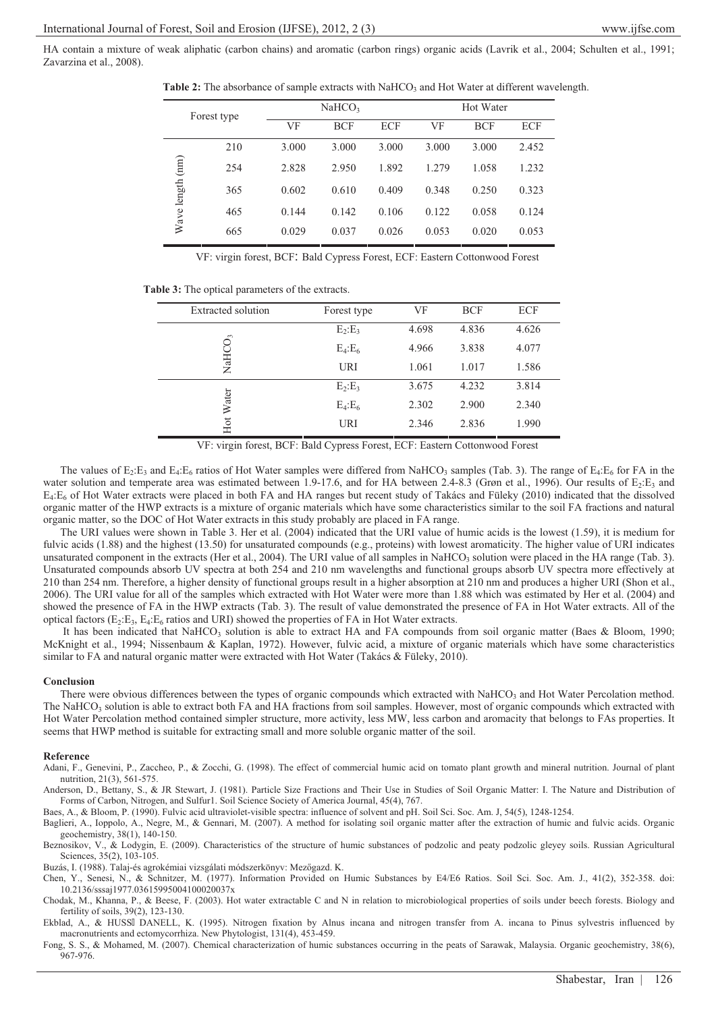HA contain a mixture of weak aliphatic (carbon chains) and aromatic (carbon rings) organic acids (Lavrik et al., 2004; Schulten et al., 1991; Zavarzina et al., 2008).

**Table 2:** The absorbance of sample extracts with NaHCO<sub>3</sub> and Hot Water at different wavelength.

| Forest type      |     | NAHCO <sub>3</sub> |            | Hot Water  |       |            |       |
|------------------|-----|--------------------|------------|------------|-------|------------|-------|
|                  |     | VF                 | <b>BCF</b> | <b>ECF</b> | VF    | <b>BCF</b> | ECF   |
|                  | 210 | 3.000              | 3.000      | 3.000      | 3.000 | 3.000      | 2.452 |
|                  | 254 | 2.828              | 2.950      | 1.892      | 1.279 | 1.058      | 1.232 |
| Wave length (nm) | 365 | 0.602              | 0.610      | 0.409      | 0.348 | 0.250      | 0.323 |
|                  | 465 | 0.144              | 0.142      | 0.106      | 0.122 | 0.058      | 0.124 |
|                  | 665 | 0.029              | 0.037      | 0.026      | 0.053 | 0.020      | 0.053 |

VF: virgin forest, BCF: Bald Cypress Forest, ECF: Eastern Cottonwood Forest

| <b>Table 3:</b> The optical parameters of the extracts. |
|---------------------------------------------------------|
|---------------------------------------------------------|

| Extracted solution | Forest type   | VF    | <b>BCF</b> | ECF   |
|--------------------|---------------|-------|------------|-------|
| NaHCO <sub>3</sub> | $E_2:E_3$     | 4.698 | 4.836      | 4.626 |
|                    | $E_4$ : $E_6$ | 4.966 | 3.838      | 4.077 |
|                    | URI           | 1.061 | 1.017      | 1.586 |
| Hot Water          | $E_2:E_3$     | 3.675 | 4.232      | 3.814 |
|                    | $E_4$ : $E_6$ | 2.302 | 2.900      | 2.340 |
|                    | URI           | 2.346 | 2.836      | 1.990 |

VF: virgin forest, BCF: Bald Cypress Forest, ECF: Eastern Cottonwood Forest

The values of  $E_2:E_3$  and  $E_4:E_6$  ratios of Hot Water samples were differed from NaHCO<sub>3</sub> samples (Tab. 3). The range of  $E_4:E_6$  for FA in the water solution and temperate area was estimated between 1.9-17.6, and for HA between 2.4-8.3 (Grøn et al., 1996). Our results of  $E_2:E_3$  and  $E_4$ : $E_6$  of Hot Water extracts were placed in both FA and HA ranges but recent study of Takács and Füleky (2010) indicated that the dissolved organic matter of the HWP extracts is a mixture of organic materials which have some characteristics similar to the soil FA fractions and natural organic matter, so the DOC of Hot Water extracts in this study probably are placed in FA range.

The URI values were shown in Table 3. Her et al. (2004) indicated that the URI value of humic acids is the lowest (1.59), it is medium for fulvic acids (1.88) and the highest (13.50) for unsaturated compounds (e.g., proteins) with lowest aromaticity. The higher value of URI indicates unsaturated component in the extracts (Her et al., 2004). The URI value of all samples in NaHCO<sub>3</sub> solution were placed in the HA range (Tab. 3). Unsaturated compounds absorb UV spectra at both 254 and 210 nm wavelengths and functional groups absorb UV spectra more effectively at 210 than 254 nm. Therefore, a higher density of functional groups result in a higher absorption at 210 nm and produces a higher URI (Shon et al., 2006). The URI value for all of the samples which extracted with Hot Water were more than 1.88 which was estimated by Her et al. (2004) and showed the presence of FA in the HWP extracts (Tab. 3). The result of value demonstrated the presence of FA in Hot Water extracts. All of the optical factors  $(E_2:E_3, E_4:E_6$  ratios and URI) showed the properties of FA in Hot Water extracts.

It has been indicated that NaHCO<sub>3</sub> solution is able to extract HA and FA compounds from soil organic matter (Baes & Bloom, 1990; McKnight et al., 1994; Nissenbaum & Kaplan, 1972). However, fulvic acid, a mixture of organic materials which have some characteristics similar to FA and natural organic matter were extracted with Hot Water (Takács & Füleky, 2010).

### **Conclusion**

There were obvious differences between the types of organic compounds which extracted with NaHCO<sub>3</sub> and Hot Water Percolation method. The NaHCO<sub>3</sub> solution is able to extract both FA and HA fractions from soil samples. However, most of organic compounds which extracted with Hot Water Percolation method contained simpler structure, more activity, less MW, less carbon and aromacity that belongs to FAs properties. It seems that HWP method is suitable for extracting small and more soluble organic matter of the soil.

#### **Reference**

Adani, F., Genevini, P., Zaccheo, P., & Zocchi, G. (1998). The effect of commercial humic acid on tomato plant growth and mineral nutrition. Journal of plant nutrition, 21(3), 561-575.

Anderson, D., Bettany, S., & JR Stewart, J. (1981). Particle Size Fractions and Their Use in Studies of Soil Organic Matter: I. The Nature and Distribution of Forms of Carbon, Nitrogen, and Sulfur1. Soil Science Society of America Journal, 45(4), 767.

Baes, A., & Bloom, P. (1990). Fulvic acid ultraviolet-visible spectra: influence of solvent and pH. Soil Sci. Soc. Am. J, 54(5), 1248-1254.

Baglieri, A., Ioppolo, A., Negre, M., & Gennari, M. (2007). A method for isolating soil organic matter after the extraction of humic and fulvic acids. Organic geochemistry, 38(1), 140-150.

Beznosikov, V., & Lodygin, E. (2009). Characteristics of the structure of humic substances of podzolic and peaty podzolic gleyey soils. Russian Agricultural Sciences, 35(2), 103-105.

Buzás, I. (1988). Talaj-és agrokémiai vizsgálati módszerkönyv: Mezőgazd. K.

Chen, Y., Senesi, N., & Schnitzer, M. (1977). Information Provided on Humic Substances by E4/E6 Ratios. Soil Sci. Soc. Am. J., 41(2), 352-358. doi: 10.2136/sssaj1977.03615995004100020037x

Chodak, M., Khanna, P., & Beese, F. (2003). Hot water extractable C and N in relation to microbiological properties of soils under beech forests. Biology and fertility of soils, 39(2), 123-130.

Ekblad, A., & HUSSI DANELL, K. (1995). Nitrogen fixation by Alnus incana and nitrogen transfer from A. incana to Pinus sylvestris influenced by macronutrients and ectomycorrhiza. New Phytologist, 131(4), 453-459.

Fong, S. S., & Mohamed, M. (2007). Chemical characterization of humic substances occurring in the peats of Sarawak, Malaysia. Organic geochemistry, 38(6), 967-976.